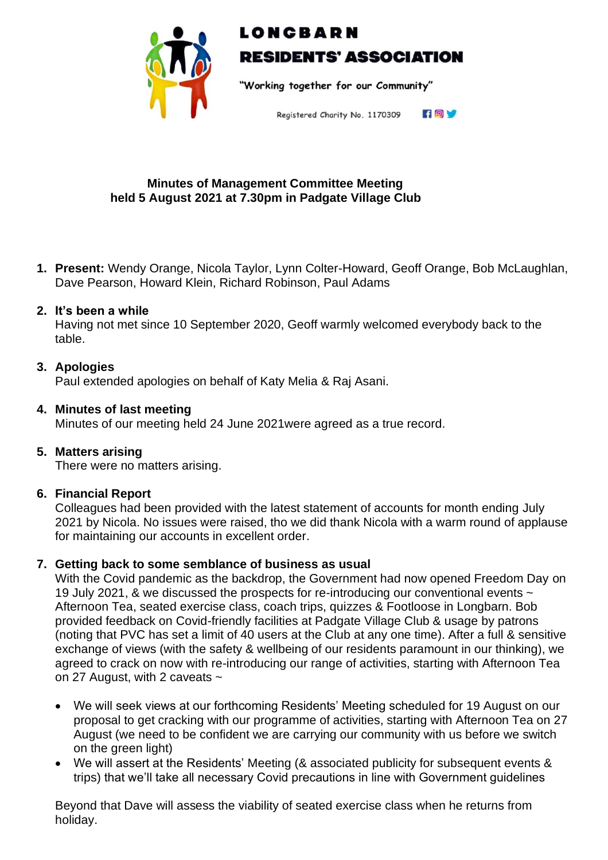

# LONCBARN **RESIDENTS' ASSOCIATION**

"Working together for our Community"

FOV Registered Charity No. 1170309

## **Minutes of Management Committee Meeting held 5 August 2021 at 7.30pm in Padgate Village Club**

**1. Present:** Wendy Orange, Nicola Taylor, Lynn Colter-Howard, Geoff Orange, Bob McLaughlan, Dave Pearson, Howard Klein, Richard Robinson, Paul Adams

## **2. It's been a while**

Having not met since 10 September 2020, Geoff warmly welcomed everybody back to the table.

# **3. Apologies**

Paul extended apologies on behalf of Katy Melia & Raj Asani.

## **4. Minutes of last meeting**

Minutes of our meeting held 24 June 2021were agreed as a true record.

# **5. Matters arising**

There were no matters arising.

#### **6. Financial Report**

Colleagues had been provided with the latest statement of accounts for month ending July 2021 by Nicola. No issues were raised, tho we did thank Nicola with a warm round of applause for maintaining our accounts in excellent order.

# **7. Getting back to some semblance of business as usual**

With the Covid pandemic as the backdrop, the Government had now opened Freedom Day on 19 July 2021, & we discussed the prospects for re-introducing our conventional events ~ Afternoon Tea, seated exercise class, coach trips, quizzes & Footloose in Longbarn. Bob provided feedback on Covid-friendly facilities at Padgate Village Club & usage by patrons (noting that PVC has set a limit of 40 users at the Club at any one time). After a full & sensitive exchange of views (with the safety & wellbeing of our residents paramount in our thinking), we agreed to crack on now with re-introducing our range of activities, starting with Afternoon Tea on 27 August, with 2 caveats ~

- We will seek views at our forthcoming Residents' Meeting scheduled for 19 August on our proposal to get cracking with our programme of activities, starting with Afternoon Tea on 27 August (we need to be confident we are carrying our community with us before we switch on the green light)
- We will assert at the Residents' Meeting (& associated publicity for subsequent events & trips) that we'll take all necessary Covid precautions in line with Government guidelines

Beyond that Dave will assess the viability of seated exercise class when he returns from holiday.